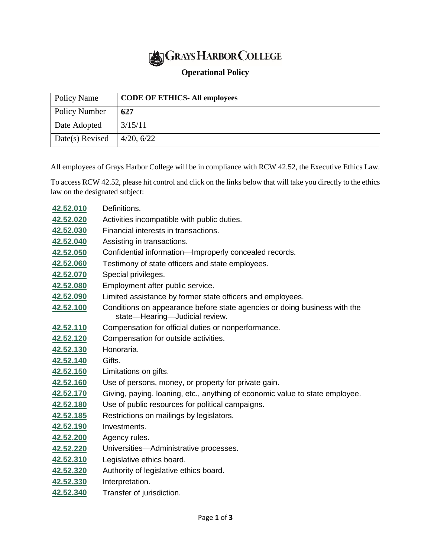## **GRAYS HARBOR COLLEGE**

## **Operational Policy**

| Policy Name     | <b>CODE OF ETHICS- All employees</b> |
|-----------------|--------------------------------------|
| Policy Number   | 627                                  |
| Date Adopted    | 3/15/11                              |
| Date(s) Revised | 4/20, 6/22                           |

All employees of Grays Harbor College will be in compliance with RCW 42.52, the Executive Ethics Law.

To access RCW 42.52, please hit control and click on the links below that will take you directly to the ethics law on the designated subject:

| 42.52.010 | Definitions.                                                                                                |
|-----------|-------------------------------------------------------------------------------------------------------------|
| 42.52.020 | Activities incompatible with public duties.                                                                 |
| 42.52.030 | Financial interests in transactions.                                                                        |
| 42.52.040 | Assisting in transactions.                                                                                  |
| 42.52.050 | Confidential information—Improperly concealed records.                                                      |
| 42.52.060 | Testimony of state officers and state employees.                                                            |
| 42.52.070 | Special privileges.                                                                                         |
| 42.52.080 | Employment after public service.                                                                            |
| 42.52.090 | Limited assistance by former state officers and employees.                                                  |
| 42.52.100 | Conditions on appearance before state agencies or doing business with the<br>state-Hearing-Judicial review. |
| 42.52.110 | Compensation for official duties or nonperformance.                                                         |
| 42.52.120 | Compensation for outside activities.                                                                        |
| 42.52.130 | Honoraria.                                                                                                  |
| 42.52.140 | Gifts.                                                                                                      |
| 42.52.150 | Limitations on gifts.                                                                                       |
| 42.52.160 | Use of persons, money, or property for private gain.                                                        |
| 42.52.170 | Giving, paying, loaning, etc., anything of economic value to state employee.                                |
| 42.52.180 | Use of public resources for political campaigns.                                                            |
| 42.52.185 | Restrictions on mailings by legislators.                                                                    |
| 42.52.190 | Investments.                                                                                                |
| 42.52.200 | Agency rules.                                                                                               |
| 42.52.220 | Universities-Administrative processes.                                                                      |
| 42.52.310 | Legislative ethics board.                                                                                   |
| 42.52.320 | Authority of legislative ethics board.                                                                      |
| 42.52.330 | Interpretation.                                                                                             |

**[42.52.340](http://app.leg.wa.gov/RCW/default.aspx?cite=42.52.340)** Transfer of jurisdiction.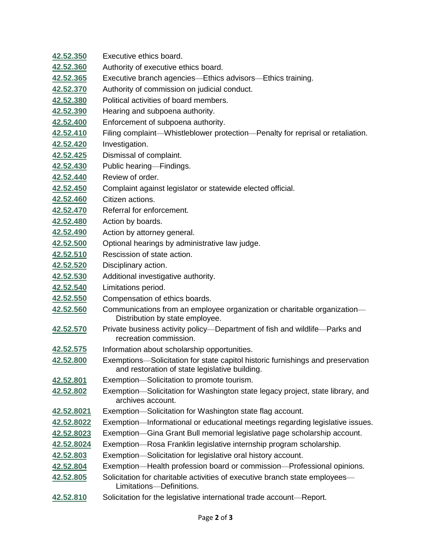| 42.52.350         | Executive ethics board.                                                                                                           |
|-------------------|-----------------------------------------------------------------------------------------------------------------------------------|
| 42.52.360         | Authority of executive ethics board.                                                                                              |
| 42.52.365         | Executive branch agencies—Ethics advisors—Ethics training.                                                                        |
| 42.52.370         | Authority of commission on judicial conduct.                                                                                      |
| 42.52.380         | Political activities of board members.                                                                                            |
| 42.52.390         | Hearing and subpoena authority.                                                                                                   |
| 42.52.400         | Enforcement of subpoena authority.                                                                                                |
| 42.52.410         | Filing complaint—Whistleblower protection—Penalty for reprisal or retaliation.                                                    |
| 42.52.420         | Investigation.                                                                                                                    |
| 42.52.425         | Dismissal of complaint.                                                                                                           |
| 42.52.430         | Public hearing-Findings.                                                                                                          |
| 42.52.440         | Review of order.                                                                                                                  |
| 42.52.450         | Complaint against legislator or statewide elected official.                                                                       |
| 42.52.460         | Citizen actions.                                                                                                                  |
| 42.52.470         | Referral for enforcement.                                                                                                         |
| 42.52.480         | Action by boards.                                                                                                                 |
| 42.52.490         | Action by attorney general.                                                                                                       |
| 42.52.500         | Optional hearings by administrative law judge.                                                                                    |
| 42.52.510         | Rescission of state action.                                                                                                       |
| 42.52.520         | Disciplinary action.                                                                                                              |
| 42.52.530         | Additional investigative authority.                                                                                               |
| 42.52.540         | Limitations period.                                                                                                               |
| 42.52.550         | Compensation of ethics boards.                                                                                                    |
| 42.52.560         | Communications from an employee organization or charitable organization-<br>Distribution by state employee.                       |
| 42.52.570         | Private business activity policy-Department of fish and wildlife-Parks and<br>recreation commission.                              |
| 42.52.575         | Information about scholarship opportunities.                                                                                      |
| 42.52.800         | Exemptions—Solicitation for state capitol historic furnishings and preservation<br>and restoration of state legislative building. |
| 42.52.801         | Exemption-Solicitation to promote tourism.                                                                                        |
| 42.52.802         | Exemption-Solicitation for Washington state legacy project, state library, and<br>archives account.                               |
| <u>42.52.8021</u> | Exemption-Solicitation for Washington state flag account.                                                                         |
| 42.52.8022        | Exemption-Informational or educational meetings regarding legislative issues.                                                     |
| 42.52.8023        | Exemption-Gina Grant Bull memorial legislative page scholarship account.                                                          |
| 42.52.8024        | Exemption-Rosa Franklin legislative internship program scholarship.                                                               |
| 42.52.803         | Exemption-Solicitation for legislative oral history account.                                                                      |
| 42.52.804         | Exemption-Health profession board or commission-Professional opinions.                                                            |
| 42.52.805         | Solicitation for charitable activities of executive branch state employees—<br>Limitations-Definitions.                           |
| 42.52.810         | Solicitation for the legislative international trade account-Report.                                                              |